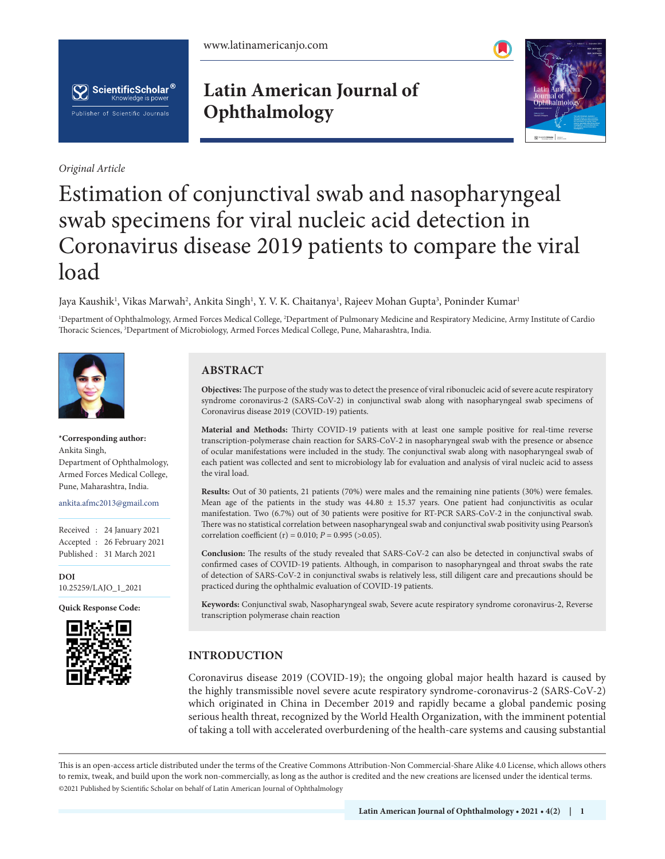



*Original Article*

## **Latin American Journal of Ophthalmology**



# Estimation of conjunctival swab and nasopharyngeal swab specimens for viral nucleic acid detection in Coronavirus disease 2019 patients to compare the viral load

Jaya Kaushik<sup>ı</sup>, Vikas Marwah<sup>2</sup>, Ankita Singh<sup>ı</sup>, Y. V. K. Chaitanya<sup>ı</sup>, Rajeev Mohan Gupta<sup>3</sup>, Poninder Kumar<sup>ı</sup>

1 Department of Ophthalmology, Armed Forces Medical College, 2 Department of Pulmonary Medicine and Respiratory Medicine, Army Institute of Cardio Thoracic Sciences, 3 Department of Microbiology, Armed Forces Medical College, Pune, Maharashtra, India.



**\*Corresponding author:** Ankita Singh, Department of Ophthalmology, Armed Forces Medical College, Pune, Maharashtra, India.

ankita.afmc2013@gmail.com

Received : 24 January 2021 Accepted : 26 February 2021 Published : 31 March 2021

**DOI** [10.25259/LAJO\\_1\\_2021](https://dx.doi.org/10.25259/LAJO_1_2021)

**Quick Response Code:**



### **ABSTRACT**

**Objectives:** The purpose of the study was to detect the presence of viral ribonucleic acid of severe acute respiratory syndrome coronavirus-2 (SARS-CoV-2) in conjunctival swab along with nasopharyngeal swab specimens of Coronavirus disease 2019 (COVID-19) patients.

**Material and Methods:** Thirty COVID-19 patients with at least one sample positive for real-time reverse transcription-polymerase chain reaction for SARS-CoV-2 in nasopharyngeal swab with the presence or absence of ocular manifestations were included in the study. The conjunctival swab along with nasopharyngeal swab of each patient was collected and sent to microbiology lab for evaluation and analysis of viral nucleic acid to assess the viral load.

**Results:** Out of 30 patients, 21 patients (70%) were males and the remaining nine patients (30%) were females. Mean age of the patients in the study was  $44.80 \pm 15.37$  years. One patient had conjunctivitis as ocular manifestation. Two (6.7%) out of 30 patients were positive for RT-PCR SARS-CoV-2 in the conjunctival swab. There was no statistical correlation between nasopharyngeal swab and conjunctival swab positivity using Pearson's correlation coefficient (r) =  $0.010$ ; *P* =  $0.995$  (>0.05).

**Conclusion:** The results of the study revealed that SARS-CoV-2 can also be detected in conjunctival swabs of confirmed cases of COVID-19 patients. Although, in comparison to nasopharyngeal and throat swabs the rate of detection of SARS-CoV-2 in conjunctival swabs is relatively less, still diligent care and precautions should be practiced during the ophthalmic evaluation of COVID-19 patients.

**Keywords:** Conjunctival swab, Nasopharyngeal swab, Severe acute respiratory syndrome coronavirus-2, Reverse transcription polymerase chain reaction

## **INTRODUCTION**

Coronavirus disease 2019 (COVID-19); the ongoing global major health hazard is caused by the highly transmissible novel severe acute respiratory syndrome-coronavirus-2 (SARS-CoV-2) which originated in China in December 2019 and rapidly became a global pandemic posing serious health threat, recognized by the World Health Organization, with the imminent potential of taking a toll with accelerated overburdening of the health-care systems and causing substantial

is is an open-access article distributed under the terms of the Creative Commons Attribution-Non Commercial-Share Alike 4.0 License, which allows others to remix, tweak, and build upon the work non-commercially, as long as the author is credited and the new creations are licensed under the identical terms. ©2021 Published by Scientific Scholar on behalf of Latin American Journal of Ophthalmology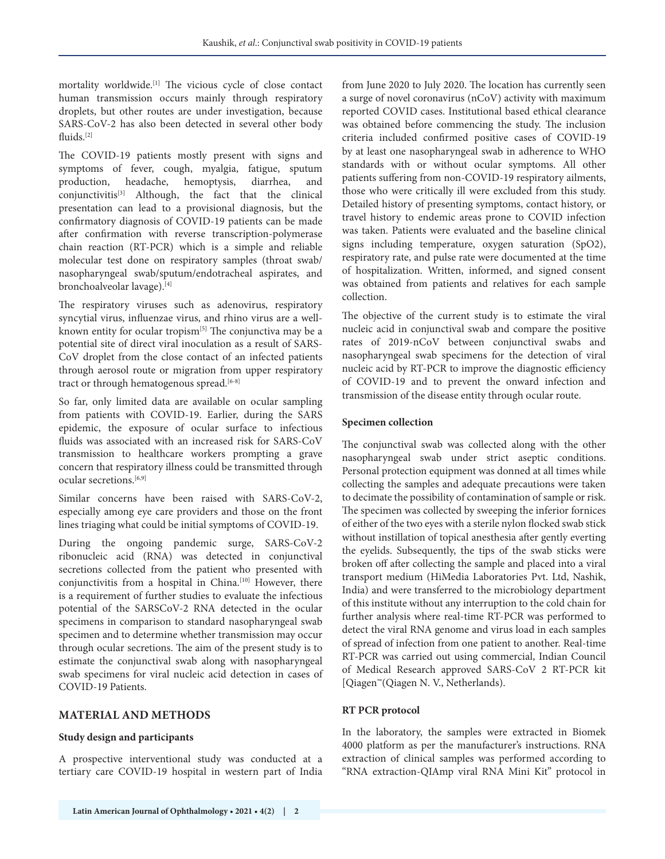mortality worldwide.[1] The vicious cycle of close contact human transmission occurs mainly through respiratory droplets, but other routes are under investigation, because SARS-CoV-2 has also been detected in several other body fluids.[2]

The COVID-19 patients mostly present with signs and symptoms of fever, cough, myalgia, fatigue, sputum production, headache, hemoptysis, diarrhea, and conjunctivitis[3] Although, the fact that the clinical presentation can lead to a provisional diagnosis, but the confirmatory diagnosis of COVID-19 patients can be made after confirmation with reverse transcription-polymerase chain reaction (RT-PCR) which is a simple and reliable molecular test done on respiratory samples (throat swab/ nasopharyngeal swab/sputum/endotracheal aspirates, and bronchoalveolar lavage).[4]

The respiratory viruses such as adenovirus, respiratory syncytial virus, influenzae virus, and rhino virus are a wellknown entity for ocular tropism<sup>[5]</sup> The conjunctiva may be a potential site of direct viral inoculation as a result of SARS-CoV droplet from the close contact of an infected patients through aerosol route or migration from upper respiratory tract or through hematogenous spread.<sup>[6-8]</sup>

So far, only limited data are available on ocular sampling from patients with COVID-19. Earlier, during the SARS epidemic, the exposure of ocular surface to infectious fluids was associated with an increased risk for SARS-CoV transmission to healthcare workers prompting a grave concern that respiratory illness could be transmitted through ocular secretions.[6,9]

Similar concerns have been raised with SARS-CoV-2, especially among eye care providers and those on the front lines triaging what could be initial symptoms of COVID-19.

During the ongoing pandemic surge, SARS-CoV-2 ribonucleic acid (RNA) was detected in conjunctival secretions collected from the patient who presented with conjunctivitis from a hospital in China.<sup>[10]</sup> However, there is a requirement of further studies to evaluate the infectious potential of the SARSCoV-2 RNA detected in the ocular specimens in comparison to standard nasopharyngeal swab specimen and to determine whether transmission may occur through ocular secretions. The aim of the present study is to estimate the conjunctival swab along with nasopharyngeal swab specimens for viral nucleic acid detection in cases of COVID-19 Patients.

#### **MATERIAL AND METHODS**

#### **Study design and participants**

A prospective interventional study was conducted at a tertiary care COVID-19 hospital in western part of India from June 2020 to July 2020. The location has currently seen a surge of novel coronavirus (nCoV) activity with maximum reported COVID cases. Institutional based ethical clearance was obtained before commencing the study. The inclusion criteria included confirmed positive cases of COVID-19 by at least one nasopharyngeal swab in adherence to WHO standards with or without ocular symptoms. All other patients suffering from non-COVID-19 respiratory ailments, those who were critically ill were excluded from this study. Detailed history of presenting symptoms, contact history, or travel history to endemic areas prone to COVID infection was taken. Patients were evaluated and the baseline clinical signs including temperature, oxygen saturation (SpO2), respiratory rate, and pulse rate were documented at the time of hospitalization. Written, informed, and signed consent was obtained from patients and relatives for each sample collection.

The objective of the current study is to estimate the viral nucleic acid in conjunctival swab and compare the positive rates of 2019-nCoV between conjunctival swabs and nasopharyngeal swab specimens for the detection of viral nucleic acid by RT-PCR to improve the diagnostic efficiency of COVID-19 and to prevent the onward infection and transmission of the disease entity through ocular route.

#### **Specimen collection**

The conjunctival swab was collected along with the other nasopharyngeal swab under strict aseptic conditions. Personal protection equipment was donned at all times while collecting the samples and adequate precautions were taken to decimate the possibility of contamination of sample or risk. The specimen was collected by sweeping the inferior fornices of either of the two eyes with a sterile nylon flocked swab stick without instillation of topical anesthesia after gently everting the eyelids. Subsequently, the tips of the swab sticks were broken off after collecting the sample and placed into a viral transport medium (HiMedia Laboratories Pvt. Ltd, Nashik, India) and were transferred to the microbiology department of this institute without any interruption to the cold chain for further analysis where real-time RT-PCR was performed to detect the viral RNA genome and virus load in each samples of spread of infection from one patient to another. Real-time RT-PCR was carried out using commercial, Indian Council of Medical Research approved SARS-CoV 2 RT-PCR kit [Qiagen™(Qiagen N. V., Netherlands).

#### **RT PCR protocol**

In the laboratory, the samples were extracted in Biomek 4000 platform as per the manufacturer's instructions. RNA extraction of clinical samples was performed according to "RNA extraction-QIAmp viral RNA Mini Kit" protocol in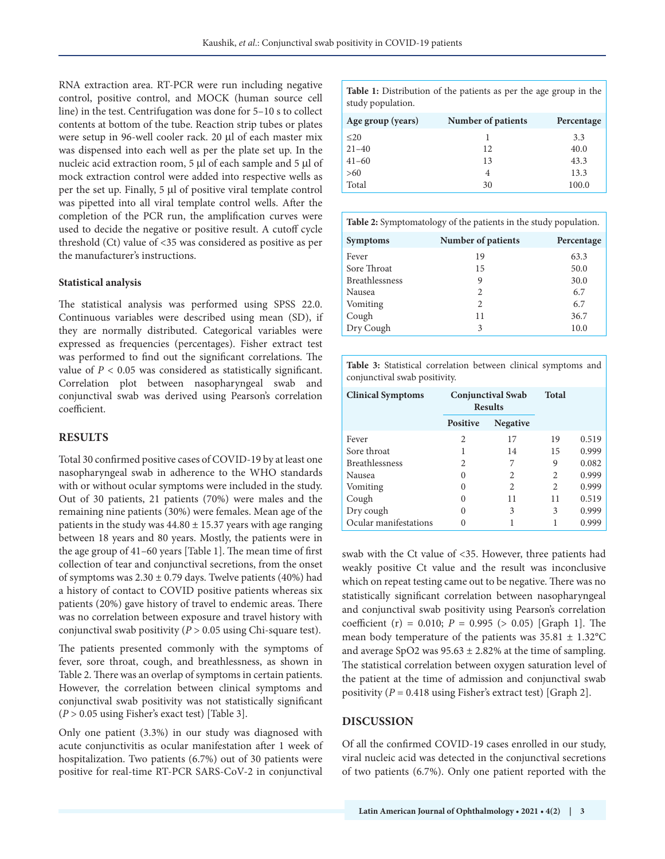RNA extraction area. RT-PCR were run including negative control, positive control, and MOCK (human source cell line) in the test. Centrifugation was done for 5–10 s to collect contents at bottom of the tube. Reaction strip tubes or plates were setup in 96-well cooler rack. 20 μl of each master mix was dispensed into each well as per the plate set up. In the nucleic acid extraction room, 5 μl of each sample and 5 μl of mock extraction control were added into respective wells as per the set up. Finally, 5 μl of positive viral template control was pipetted into all viral template control wells. After the completion of the PCR run, the amplification curves were used to decide the negative or positive result. A cutoff cycle threshold (Ct) value of <35 was considered as positive as per the manufacturer's instructions.

#### **Statistical analysis**

The statistical analysis was performed using SPSS 22.0. Continuous variables were described using mean (SD), if they are normally distributed. Categorical variables were expressed as frequencies (percentages). Fisher extract test was performed to find out the significant correlations. The value of *P* < 0.05 was considered as statistically significant. Correlation plot between nasopharyngeal swab and conjunctival swab was derived using Pearson's correlation coefficient.

#### **RESULTS**

Total 30 confirmed positive cases of COVID-19 by at least one nasopharyngeal swab in adherence to the WHO standards with or without ocular symptoms were included in the study. Out of 30 patients, 21 patients (70%) were males and the remaining nine patients (30%) were females. Mean age of the patients in the study was  $44.80 \pm 15.37$  years with age ranging between 18 years and 80 years. Mostly, the patients were in the age group of 41–60 years [Table 1]. The mean time of first collection of tear and conjunctival secretions, from the onset of symptoms was  $2.30 \pm 0.79$  days. Twelve patients (40%) had a history of contact to COVID positive patients whereas six patients (20%) gave history of travel to endemic areas. There was no correlation between exposure and travel history with conjunctival swab positivity (*P* > 0.05 using Chi-square test).

The patients presented commonly with the symptoms of fever, sore throat, cough, and breathlessness, as shown in Table 2. There was an overlap of symptoms in certain patients. However, the correlation between clinical symptoms and conjunctival swab positivity was not statistically significant (*P* > 0.05 using Fisher's exact test) [Table 3].

Only one patient (3.3%) in our study was diagnosed with acute conjunctivitis as ocular manifestation after 1 week of hospitalization. Two patients (6.7%) out of 30 patients were positive for real-time RT-PCR SARS-CoV-2 in conjunctival

**Table 1:** Distribution of the patients as per the age group in the study population.

| Age group (years) | Number of patients | Percentage |
|-------------------|--------------------|------------|
| $\leq$ 20         |                    | 3.3        |
| $21 - 40$         | 12                 | 40.0       |
| $41 - 60$         | 13                 | 43.3       |
| >60               | 4                  | 13.3       |
| Total             | 30                 | 100.0      |

| <b>Table 2:</b> Symptomatology of the patients in the study population. |                    |            |  |  |  |
|-------------------------------------------------------------------------|--------------------|------------|--|--|--|
| <b>Symptoms</b>                                                         | Number of patients | Percentage |  |  |  |
| Fever                                                                   | 19                 | 63.3       |  |  |  |
| Sore Throat                                                             | 15                 | 50.0       |  |  |  |
| <b>Breathlessness</b>                                                   | 9                  | 30.0       |  |  |  |
| Nausea                                                                  | 2                  | 6.7        |  |  |  |
| Vomiting                                                                | $\mathcal{L}$      | 6.7        |  |  |  |
| Cough                                                                   | 11                 | 36.7       |  |  |  |
| Dry Cough                                                               | 3                  | 10.0       |  |  |  |

**Table 3:** Statistical correlation between clinical symptoms and conjunctival swab positivity.

| <b>Clinical Symptoms</b> | <b>Conjunctival Swab</b><br><b>Results</b> |                 | <b>Total</b>   |       |
|--------------------------|--------------------------------------------|-----------------|----------------|-------|
|                          | <b>Positive</b>                            | <b>Negative</b> |                |       |
| Fever                    | $\mathfrak{D}$                             | 17              | 19             | 0.519 |
| Sore throat              |                                            | 14              | 15             | 0.999 |
| <b>Breathlessness</b>    | 2                                          | 7               | 9              | 0.082 |
| Nausea                   | $\theta$                                   | 2               | $\mathfrak{D}$ | 0.999 |
| Vomiting                 | $\mathbf{0}$                               | 2               | $\mathfrak{D}$ | 0.999 |
| Cough                    | $\theta$                                   | 11              | 11             | 0.519 |
| Dry cough                | 0                                          | 3               | 3              | 0.999 |
| Ocular manifestations    |                                            |                 |                | 0.999 |

swab with the Ct value of <35. However, three patients had weakly positive Ct value and the result was inconclusive which on repeat testing came out to be negative. There was no statistically significant correlation between nasopharyngeal and conjunctival swab positivity using Pearson's correlation coefficient (r) = 0.010; *P* = 0.995 (> 0.05) [Graph 1]. The mean body temperature of the patients was 35.81 ± 1.32°C and average SpO2 was  $95.63 \pm 2.82\%$  at the time of sampling. The statistical correlation between oxygen saturation level of the patient at the time of admission and conjunctival swab positivity (*P* = 0.418 using Fisher's extract test) [Graph 2].

#### **DISCUSSION**

Of all the confirmed COVID-19 cases enrolled in our study, viral nucleic acid was detected in the conjunctival secretions of two patients (6.7%). Only one patient reported with the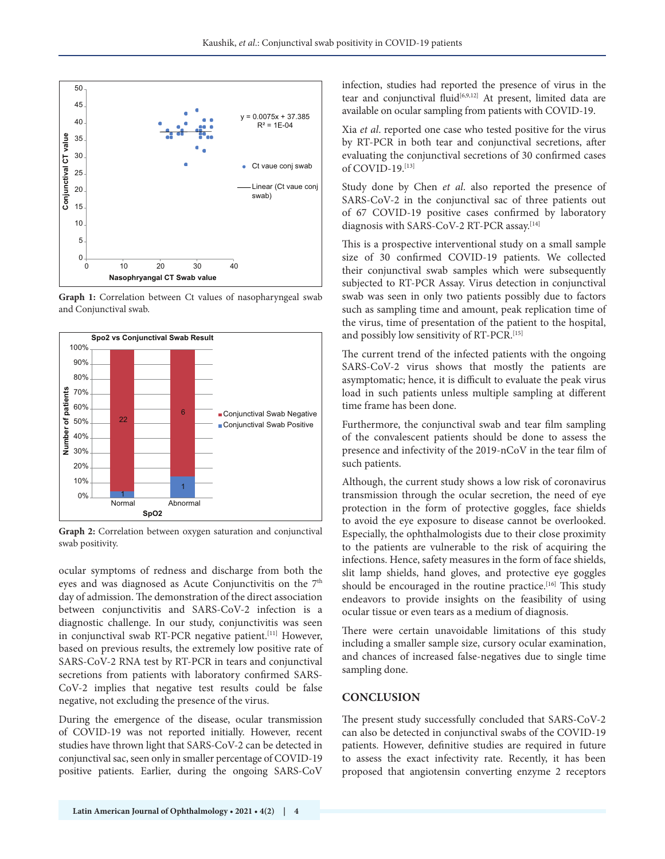

**Graph 1:** Correlation between Ct values of nasopharyngeal swab and Conjunctival swab.



**Graph 2:** Correlation between oxygen saturation and conjunctival swab positivity.

ocular symptoms of redness and discharge from both the eyes and was diagnosed as Acute Conjunctivitis on the 7<sup>th</sup> day of admission. The demonstration of the direct association between conjunctivitis and SARS-CoV-2 infection is a diagnostic challenge. In our study, conjunctivitis was seen in conjunctival swab RT-PCR negative patient.<sup>[11]</sup> However, based on previous results, the extremely low positive rate of SARS-CoV-2 RNA test by RT-PCR in tears and conjunctival secretions from patients with laboratory confirmed SARS-CoV-2 implies that negative test results could be false negative, not excluding the presence of the virus.

During the emergence of the disease, ocular transmission of COVID-19 was not reported initially. However, recent studies have thrown light that SARS-CoV-2 can be detected in conjunctival sac, seen only in smaller percentage of COVID-19 positive patients. Earlier, during the ongoing SARS-CoV infection, studies had reported the presence of virus in the tear and conjunctival fluid<sup>[6,9,12]</sup> At present, limited data are available on ocular sampling from patients with COVID-19.

Xia *et al*. reported one case who tested positive for the virus by RT-PCR in both tear and conjunctival secretions, after evaluating the conjunctival secretions of 30 confirmed cases of COVID-19.[13]

Study done by Chen *et al*. also reported the presence of SARS-CoV-2 in the conjunctival sac of three patients out of 67 COVID-19 positive cases confirmed by laboratory diagnosis with SARS-CoV-2 RT-PCR assay.<sup>[14]</sup>

This is a prospective interventional study on a small sample size of 30 confirmed COVID-19 patients. We collected their conjunctival swab samples which were subsequently subjected to RT-PCR Assay. Virus detection in conjunctival swab was seen in only two patients possibly due to factors such as sampling time and amount, peak replication time of the virus, time of presentation of the patient to the hospital, and possibly low sensitivity of RT-PCR.<sup>[15]</sup>

The current trend of the infected patients with the ongoing SARS-CoV-2 virus shows that mostly the patients are asymptomatic; hence, it is difficult to evaluate the peak virus load in such patients unless multiple sampling at different time frame has been done.

Furthermore, the conjunctival swab and tear film sampling of the convalescent patients should be done to assess the presence and infectivity of the 2019-nCoV in the tear film of such patients.

Although, the current study shows a low risk of coronavirus transmission through the ocular secretion, the need of eye protection in the form of protective goggles, face shields to avoid the eye exposure to disease cannot be overlooked. Especially, the ophthalmologists due to their close proximity to the patients are vulnerable to the risk of acquiring the infections. Hence, safety measures in the form of face shields, slit lamp shields, hand gloves, and protective eye goggles should be encouraged in the routine practice.<sup>[16]</sup> This study endeavors to provide insights on the feasibility of using ocular tissue or even tears as a medium of diagnosis.

There were certain unavoidable limitations of this study including a smaller sample size, cursory ocular examination, and chances of increased false-negatives due to single time sampling done.

#### **CONCLUSION**

The present study successfully concluded that SARS-CoV-2 can also be detected in conjunctival swabs of the COVID-19 patients. However, definitive studies are required in future to assess the exact infectivity rate. Recently, it has been proposed that angiotensin converting enzyme 2 receptors